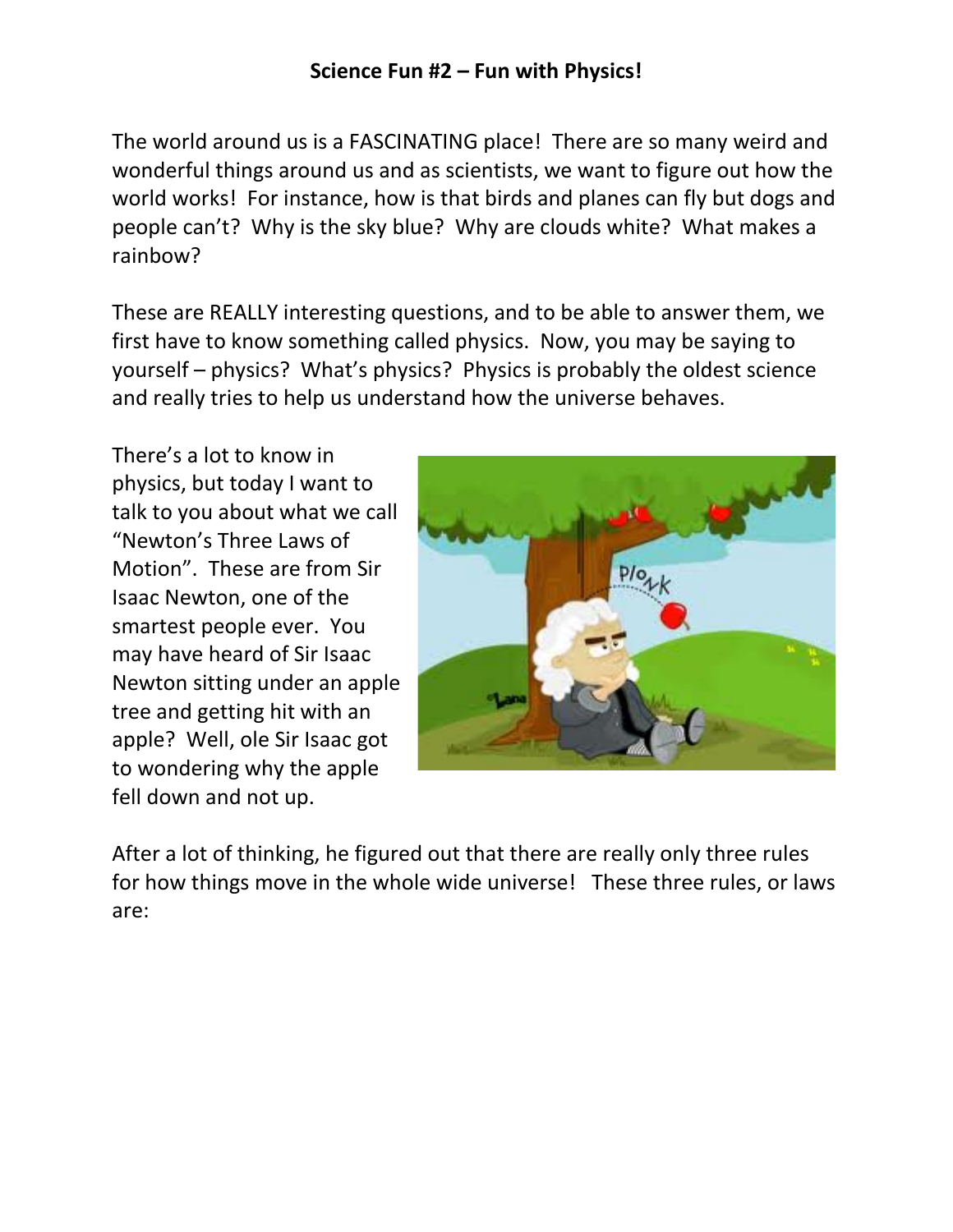The world around us is a FASCINATING place! There are so many weird and wonderful things around us and as scientists, we want to figure out how the world works! For instance, how is that birds and planes can fly but dogs and people can't? Why is the sky blue? Why are clouds white? What makes a rainbow?

These are REALLY interesting questions, and to be able to answer them, we first have to know something called physics. Now, you may be saying to yourself – physics? What's physics? Physics is probably the oldest science and really tries to help us understand how the universe behaves.

There's a lot to know in physics, but today I want to talk to you about what we call "Newton's Three Laws of Motion". These are from Sir Isaac Newton, one of the smartest people ever. You may have heard of Sir Isaac Newton sitting under an apple tree and getting hit with an apple? Well, ole Sir Isaac got to wondering why the apple fell down and not up.



After a lot of thinking, he figured out that there are really only three rules for how things move in the whole wide universe! These three rules, or laws are: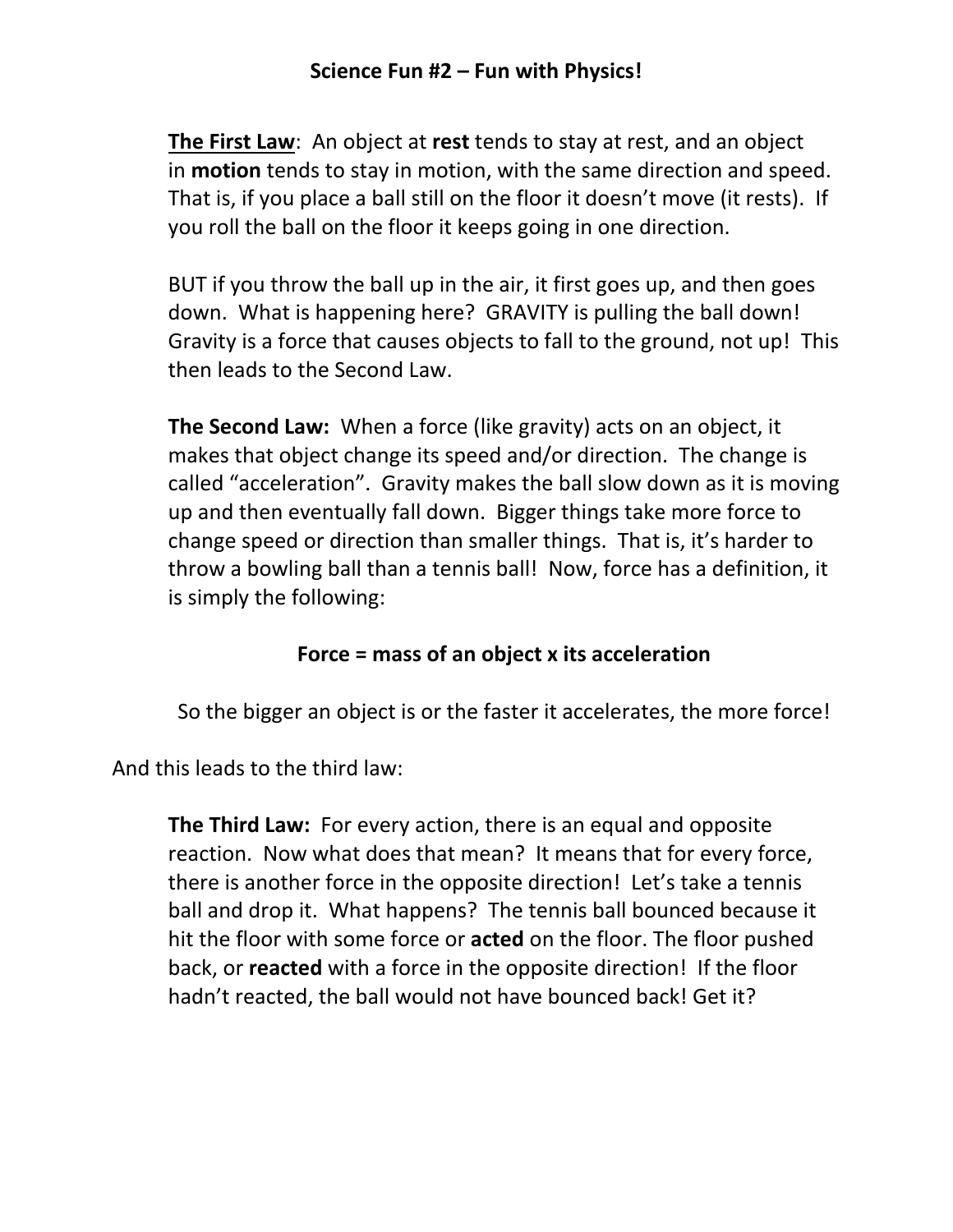**The First Law**: An object at **rest** tends to stay at rest, and an object in **motion** tends to stay in motion, with the same direction and speed. That is, if you place a ball still on the floor it doesn't move (it rests). If you roll the ball on the floor it keeps going in one direction.

BUT if you throw the ball up in the air, it first goes up, and then goes down. What is happening here? GRAVITY is pulling the ball down! Gravity is a force that causes objects to fall to the ground, not up! This then leads to the Second Law.

**The Second Law:** When a force (like gravity) acts on an object, it makes that object change its speed and/or direction. The change is called "acceleration". Gravity makes the ball slow down as it is moving up and then eventually fall down. Bigger things take more force to change speed or direction than smaller things. That is, it's harder to throw a bowling ball than a tennis ball! Now, force has a definition, it is simply the following:

## **Force = mass of an object x its acceleration**

So the bigger an object is or the faster it accelerates, the more force!

And this leads to the third law:

**The Third Law:** For every action, there is an equal and opposite reaction. Now what does that mean? It means that for every force, there is another force in the opposite direction! Let's take a tennis ball and drop it. What happens? The tennis ball bounced because it hit the floor with some force or **acted** on the floor. The floor pushed back, or **reacted** with a force in the opposite direction! If the floor hadn't reacted, the ball would not have bounced back! Get it?